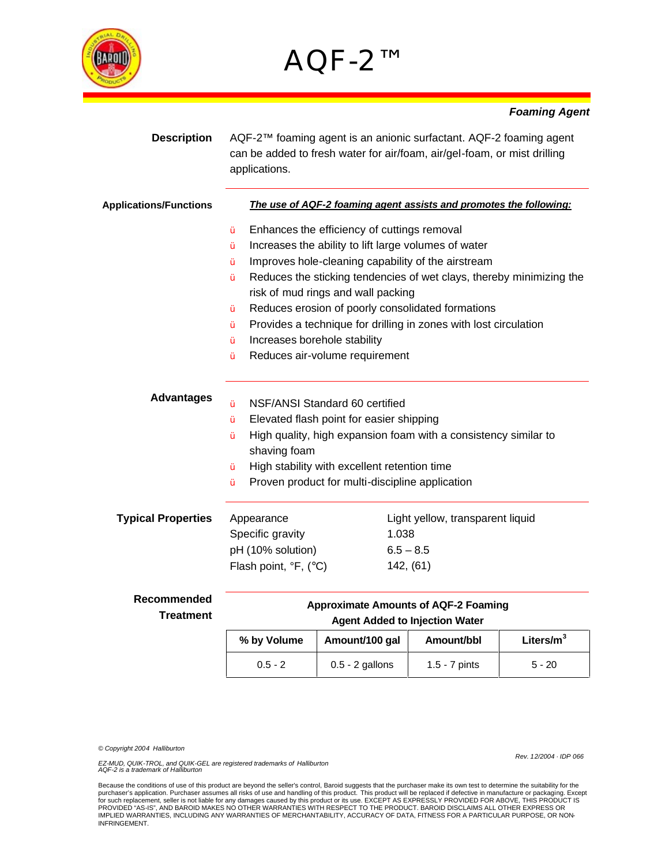

## AQF-2™

## *Foaming Agent*

| <b>Description</b>            | applications.                                                                                                         | AQF-2™ foaming agent is an anionic surfactant. AQF-2 foaming agent<br>can be added to fresh water for air/foam, air/gel-foam, or mist drilling |  |  |
|-------------------------------|-----------------------------------------------------------------------------------------------------------------------|------------------------------------------------------------------------------------------------------------------------------------------------|--|--|
| <b>Applications/Functions</b> | The use of AQF-2 foaming agent assists and promotes the following:                                                    |                                                                                                                                                |  |  |
|                               | Enhances the efficiency of cuttings removal<br>Ϋ́                                                                     |                                                                                                                                                |  |  |
|                               | Increases the ability to lift large volumes of water<br>Ϋ́<br>Improves hole-cleaning capability of the airstream<br>Ÿ |                                                                                                                                                |  |  |
|                               |                                                                                                                       |                                                                                                                                                |  |  |
|                               | Reduces the sticking tendencies of wet clays, thereby minimizing the<br>Ÿ<br>risk of mud rings and wall packing       |                                                                                                                                                |  |  |
|                               | Reduces erosion of poorly consolidated formations<br>Ÿ                                                                |                                                                                                                                                |  |  |
|                               | Ϋ́                                                                                                                    | Provides a technique for drilling in zones with lost circulation<br>Increases borehole stability                                               |  |  |
|                               | Ÿ                                                                                                                     |                                                                                                                                                |  |  |
|                               | Reduces air-volume requirement<br>Ÿ                                                                                   |                                                                                                                                                |  |  |
| <b>Advantages</b>             | NSF/ANSI Standard 60 certified<br>Ÿ                                                                                   |                                                                                                                                                |  |  |
|                               | Elevated flash point for easier shipping<br>Ÿ                                                                         |                                                                                                                                                |  |  |
|                               | High quality, high expansion foam with a consistency similar to<br>Ϋ́<br>shaving foam                                 |                                                                                                                                                |  |  |
|                               | High stability with excellent retention time<br>Ÿ                                                                     |                                                                                                                                                |  |  |
|                               | Proven product for multi-discipline application<br>Ÿ                                                                  |                                                                                                                                                |  |  |
| <b>Typical Properties</b>     | Appearance                                                                                                            | Light yellow, transparent liquid                                                                                                               |  |  |
|                               | Specific gravity                                                                                                      | 1.038                                                                                                                                          |  |  |
|                               | pH (10% solution)                                                                                                     | $6.5 - 8.5$                                                                                                                                    |  |  |
|                               | Flash point, ${}^{\circ}F$ , ( ${}^{\circ}C$ )                                                                        | 142, (61)                                                                                                                                      |  |  |
| Recommended                   | <b>Approximate Amounts of AQF-2 Foaming</b>                                                                           |                                                                                                                                                |  |  |
| Treatment                     | Agont Addod to Injoetian Water                                                                                        |                                                                                                                                                |  |  |

|             | <b>Agent Added to Injection Water</b> |                 |              |  |  |
|-------------|---------------------------------------|-----------------|--------------|--|--|
| % by Volume | Amount/100 gal                        | Amount/bbl      | Liters/ $m3$ |  |  |
| $0.5 - 2$   | $0.5 - 2$ gallons                     | $1.5 - 7$ pints | $5 - 20$     |  |  |

*© Copyright 2004 Halliburton*

*EZ-MUD, QUIK-TROL, and QUIK-GEL are registered trademarks of Halliburton AQF-2 is a trademark of Halliburton*

*Rev. 12/2004 · IDP 066*

Because the conditions of use of this product are beyond the seller's control, Baroid suggests that the purchaser make its own test to determine the suitability for the purchaser's application. Purchaser assumes all risks of use and handling of this product. This product will be replaced if defective in manufacture or packaging. Except<br>for such replacement, seller is not liable for any d INFRINGEMENT.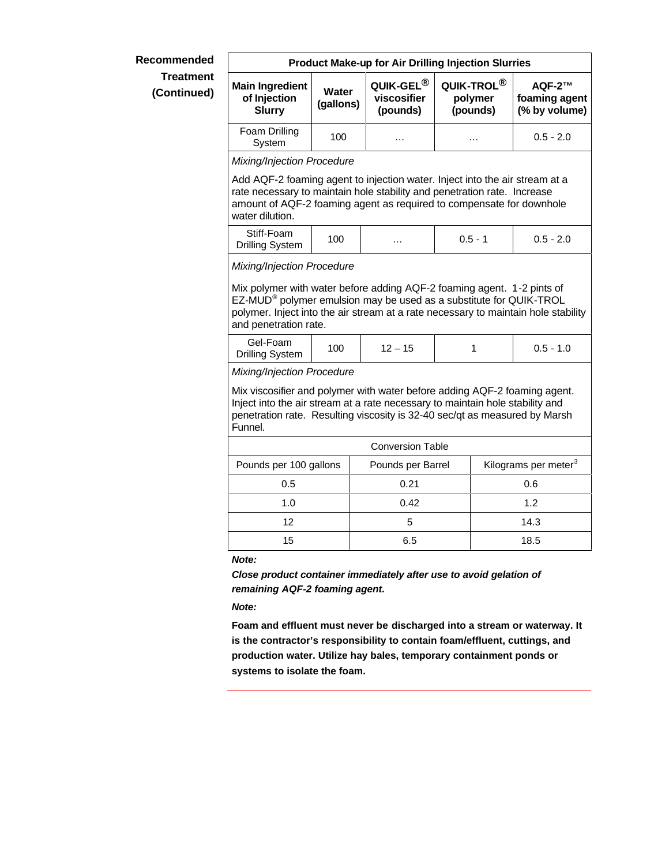## **Recommended Treatment (Continued)**

## **Product Make-up for Air Drilling Injection Slurries Main Ingredient of Injection Slurry Water (gallons) QUIK-GEL® viscosifier (pounds) QUIK-TROL® polymer (pounds) AQF-2™ foaming agent (% by volume)** Foam Drilling am Dhinny | 100 | … | … | 0.5 - 2.0 *Mixing/Injection Procedure*  Add AQF-2 foaming agent to injection water. Inject into the air stream at a rate necessary to maintain hole stability and penetration rate. Increase amount of AQF-2 foaming agent as required to compensate for downhole water dilution. Stiff-Foam <del>Drilling System</del> 100 … 0.5 - 1 0.5 - 2.0 *Mixing/Injection Procedure* Mix polymer with water before adding AQF-2 foaming agent. 1-2 pints of EZ-MUD® polymer emulsion may be used as a substitute for QUIK-TROL polymer. Inject into the air stream at a rate necessary to maintain hole stability and penetration rate. Gel-Foam Drilling System <sup>100</sup> 12 – 15 <sup>1</sup> 0.5 - 1.0 *Mixing/Injection Procedure*  Mix viscosifier and polymer with water before adding AQF-2 foaming agent. Inject into the air stream at a rate necessary to maintain hole stability and penetration rate. Resulting viscosity is 32-40 sec/qt as measured by Marsh Funnel. Conversion Table Pounds per 100 gallons | Pounds per Barrel | Kilograms per meter<sup>3</sup> 0.5 0.21 0.6 1.0 0.42 1.2 12 5 14.3 15 6.5 18.5

*Note:* 

*Close product container immediately after use to avoid gelation of remaining AQF-2 foaming agent.*

*Note:*

**Foam and effluent must never be discharged into a stream or waterway. It is the contractor's responsibility to contain foam/effluent, cuttings, and production water. Utilize hay bales, temporary containment ponds or systems to isolate the foam.**